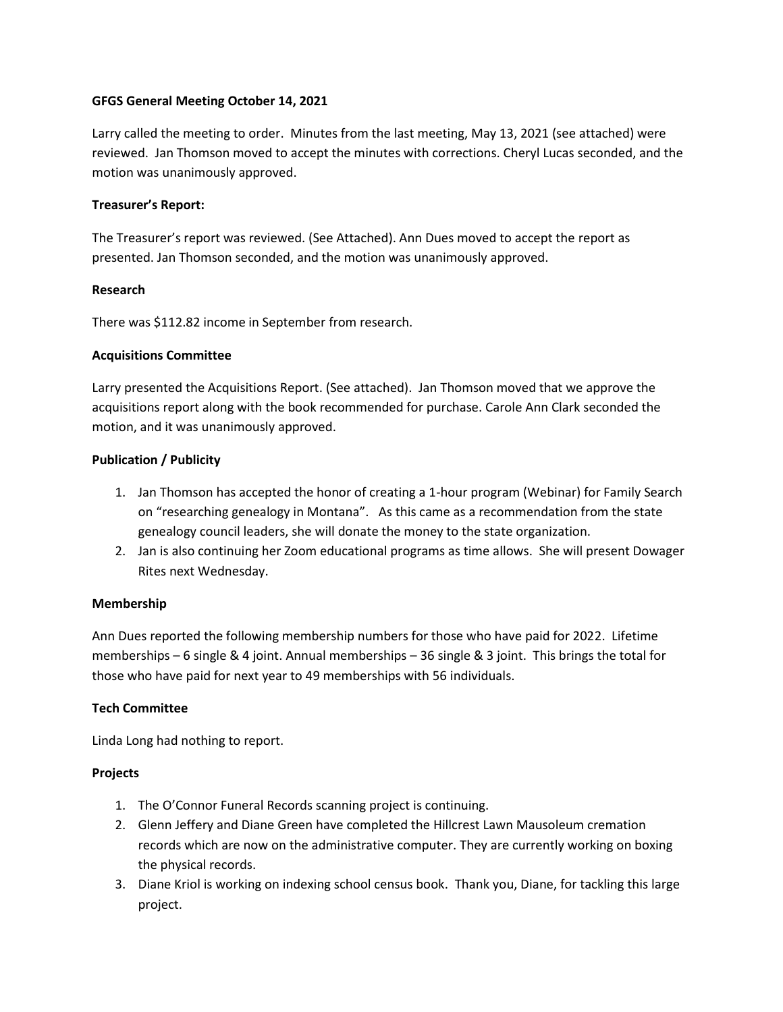#### **GFGS General Meeting October 14, 2021**

Larry called the meeting to order. Minutes from the last meeting, May 13, 2021 (see attached) were reviewed. Jan Thomson moved to accept the minutes with corrections. Cheryl Lucas seconded, and the motion was unanimously approved.

## **Treasurer's Report:**

The Treasurer's report was reviewed. (See Attached). Ann Dues moved to accept the report as presented. Jan Thomson seconded, and the motion was unanimously approved.

## **Research**

There was \$112.82 income in September from research.

## **Acquisitions Committee**

Larry presented the Acquisitions Report. (See attached). Jan Thomson moved that we approve the acquisitions report along with the book recommended for purchase. Carole Ann Clark seconded the motion, and it was unanimously approved.

## **Publication / Publicity**

- 1. Jan Thomson has accepted the honor of creating a 1-hour program (Webinar) for Family Search on "researching genealogy in Montana". As this came as a recommendation from the state genealogy council leaders, she will donate the money to the state organization.
- 2. Jan is also continuing her Zoom educational programs as time allows. She will present Dowager Rites next Wednesday.

#### **Membership**

Ann Dues reported the following membership numbers for those who have paid for 2022. Lifetime memberships – 6 single & 4 joint. Annual memberships – 36 single & 3 joint. This brings the total for those who have paid for next year to 49 memberships with 56 individuals.

# **Tech Committee**

Linda Long had nothing to report.

#### **Projects**

- 1. The O'Connor Funeral Records scanning project is continuing.
- 2. Glenn Jeffery and Diane Green have completed the Hillcrest Lawn Mausoleum cremation records which are now on the administrative computer. They are currently working on boxing the physical records.
- 3. Diane Kriol is working on indexing school census book. Thank you, Diane, for tackling this large project.